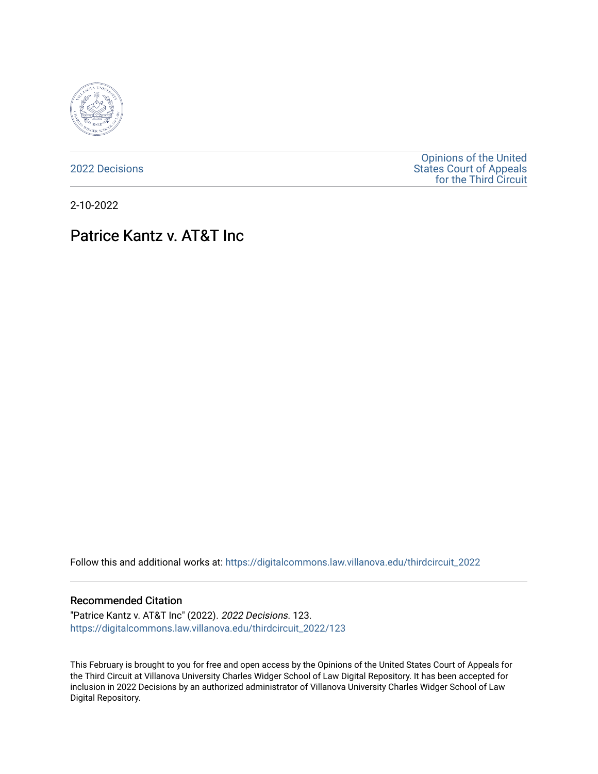

[2022 Decisions](https://digitalcommons.law.villanova.edu/thirdcircuit_2022)

[Opinions of the United](https://digitalcommons.law.villanova.edu/thirdcircuit)  [States Court of Appeals](https://digitalcommons.law.villanova.edu/thirdcircuit)  [for the Third Circuit](https://digitalcommons.law.villanova.edu/thirdcircuit) 

2-10-2022

# Patrice Kantz v. AT&T Inc

Follow this and additional works at: [https://digitalcommons.law.villanova.edu/thirdcircuit\\_2022](https://digitalcommons.law.villanova.edu/thirdcircuit_2022?utm_source=digitalcommons.law.villanova.edu%2Fthirdcircuit_2022%2F123&utm_medium=PDF&utm_campaign=PDFCoverPages) 

## Recommended Citation

"Patrice Kantz v. AT&T Inc" (2022). 2022 Decisions. 123. [https://digitalcommons.law.villanova.edu/thirdcircuit\\_2022/123](https://digitalcommons.law.villanova.edu/thirdcircuit_2022/123?utm_source=digitalcommons.law.villanova.edu%2Fthirdcircuit_2022%2F123&utm_medium=PDF&utm_campaign=PDFCoverPages)

This February is brought to you for free and open access by the Opinions of the United States Court of Appeals for the Third Circuit at Villanova University Charles Widger School of Law Digital Repository. It has been accepted for inclusion in 2022 Decisions by an authorized administrator of Villanova University Charles Widger School of Law Digital Repository.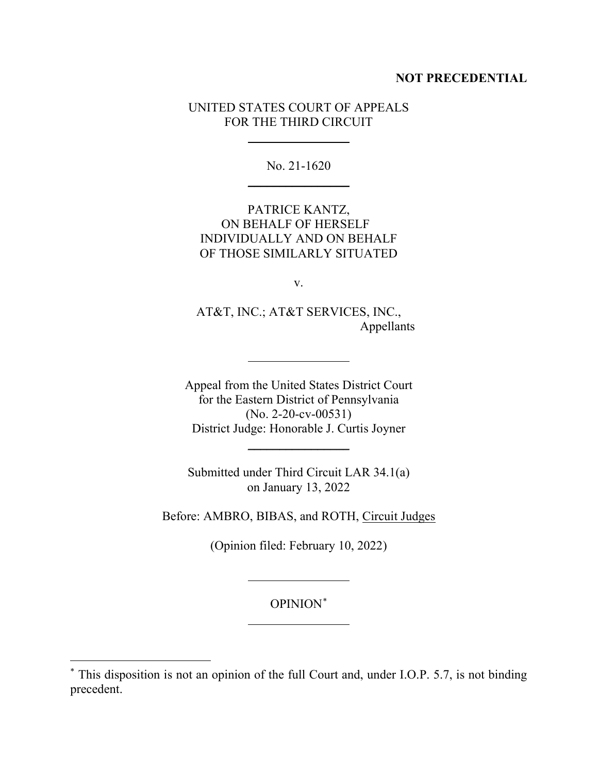## **NOT PRECEDENTIAL**

## UNITED STATES COURT OF APPEALS FOR THE THIRD CIRCUIT

No. 21-1620  $\overline{\phantom{a}}$  , where  $\overline{\phantom{a}}$ 

PATRICE KANTZ, ON BEHALF OF HERSELF INDIVIDUALLY AND ON BEHALF OF THOSE SIMILARLY SITUATED

v.

AT&T, INC.; AT&T SERVICES, INC., Appellants

Appeal from the United States District Court for the Eastern District of Pennsylvania (No. 2-20-cv-00531) District Judge: Honorable J. Curtis Joyner

 $\frac{1}{2}$ 

Submitted under Third Circuit LAR 34.1(a) on January 13, 2022

Before: AMBRO, BIBAS, and ROTH, Circuit Judges

(Opinion filed: February 10, 2022)

OPINION\*

<sup>\*</sup> This disposition is not an opinion of the full Court and, under I.O.P. 5.7, is not binding precedent.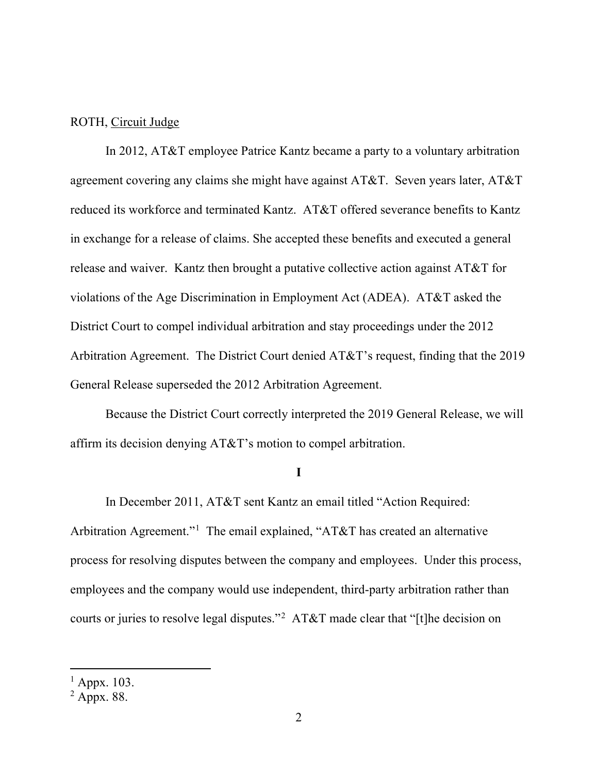## ROTH, Circuit Judge

In 2012, AT&T employee Patrice Kantz became a party to a voluntary arbitration agreement covering any claims she might have against AT&T. Seven years later, AT&T reduced its workforce and terminated Kantz. AT&T offered severance benefits to Kantz in exchange for a release of claims. She accepted these benefits and executed a general release and waiver. Kantz then brought a putative collective action against AT&T for violations of the Age Discrimination in Employment Act (ADEA). AT&T asked the District Court to compel individual arbitration and stay proceedings under the 2012 Arbitration Agreement. The District Court denied AT&T's request, finding that the 2019 General Release superseded the 2012 Arbitration Agreement.

Because the District Court correctly interpreted the 2019 General Release, we will affirm its decision denying AT&T's motion to compel arbitration.

#### **I**

In December 2011, AT&T sent Kantz an email titled "Action Required: Arbitration Agreement."<sup>1</sup> The email explained, "AT&T has created an alternative process for resolving disputes between the company and employees. Under this process, employees and the company would use independent, third-party arbitration rather than courts or juries to resolve legal disputes."<sup>2</sup> AT&T made clear that "[t]he decision on

 $<sup>1</sup>$  Appx. 103.</sup>

 $^2$  Appx. 88.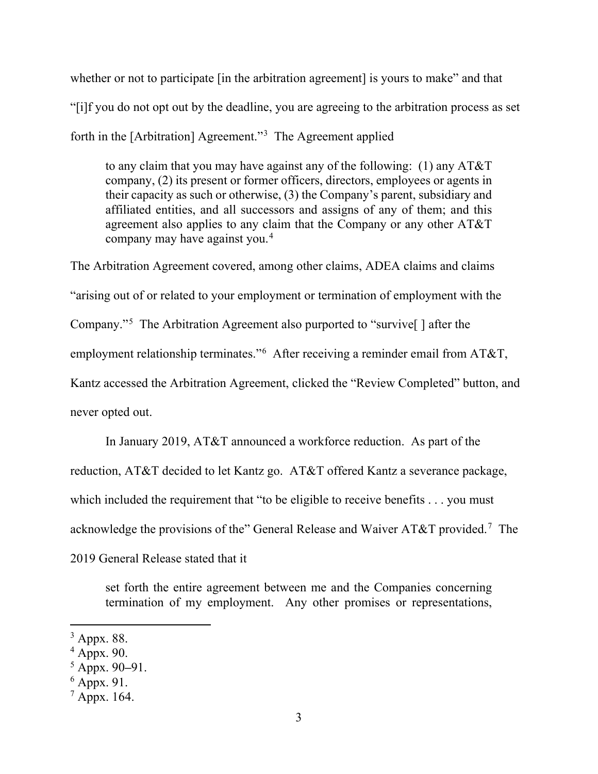whether or not to participate [in the arbitration agreement] is yours to make" and that "[i]f you do not opt out by the deadline, you are agreeing to the arbitration process as set forth in the [Arbitration] Agreement."<sup>3</sup> The Agreement applied

to any claim that you may have against any of the following: (1) any AT&T company, (2) its present or former officers, directors, employees or agents in their capacity as such or otherwise, (3) the Company's parent, subsidiary and affiliated entities, and all successors and assigns of any of them; and this agreement also applies to any claim that the Company or any other AT&T company may have against you.4

The Arbitration Agreement covered, among other claims, ADEA claims and claims "arising out of or related to your employment or termination of employment with the Company."5 The Arbitration Agreement also purported to "survive[ ] after the employment relationship terminates."<sup>6</sup> After receiving a reminder email from AT&T, Kantz accessed the Arbitration Agreement, clicked the "Review Completed" button, and never opted out.

In January 2019, AT&T announced a workforce reduction. As part of the reduction, AT&T decided to let Kantz go. AT&T offered Kantz a severance package, which included the requirement that "to be eligible to receive benefits . . . you must acknowledge the provisions of the" General Release and Waiver AT&T provided.<sup>7</sup> The 2019 General Release stated that it

set forth the entire agreement between me and the Companies concerning termination of my employment. Any other promises or representations,

<sup>3</sup> Appx. 88.

 $4$  Appx. 90.

<sup>5</sup> Appx. 90**–**91.

 $6$  Appx. 91.

 $^7$  Appx. 164.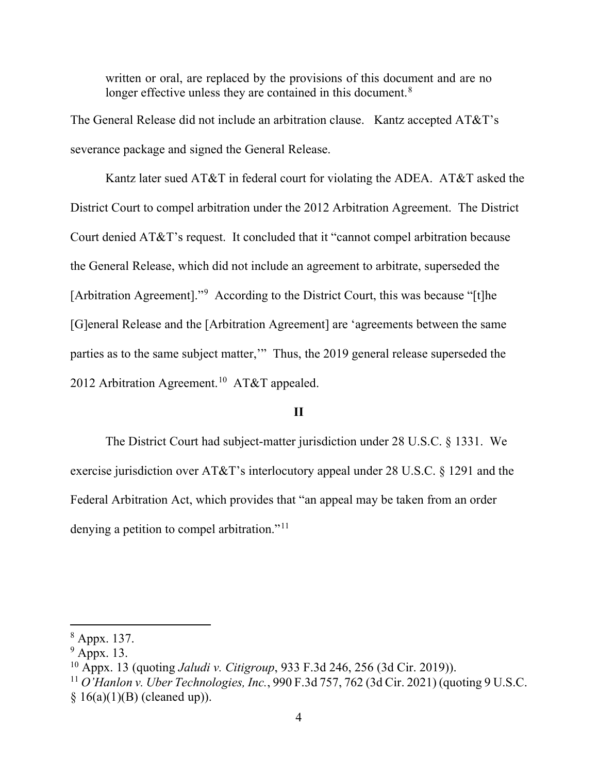written or oral, are replaced by the provisions of this document and are no longer effective unless they are contained in this document.<sup>8</sup>

The General Release did not include an arbitration clause. Kantz accepted AT&T's severance package and signed the General Release.

Kantz later sued AT&T in federal court for violating the ADEA. AT&T asked the District Court to compel arbitration under the 2012 Arbitration Agreement. The District Court denied AT&T's request. It concluded that it "cannot compel arbitration because the General Release, which did not include an agreement to arbitrate, superseded the [Arbitration Agreement]."9 According to the District Court, this was because "[t]he [G]eneral Release and the [Arbitration Agreement] are 'agreements between the same parties as to the same subject matter,'" Thus, the 2019 general release superseded the 2012 Arbitration Agreement.<sup>10</sup> AT&T appealed.

## **II**

The District Court had subject-matter jurisdiction under 28 U.S.C. § 1331. We exercise jurisdiction over AT&T's interlocutory appeal under 28 U.S.C. § 1291 and the Federal Arbitration Act, which provides that "an appeal may be taken from an order denying a petition to compel arbitration."<sup>11</sup>

<sup>8</sup> Appx. 137.

 $9$  Appx. 13.

<sup>10</sup> Appx. 13 (quoting *Jaludi v. Citigroup*, 933 F.3d 246, 256 (3d Cir. 2019)).

<sup>11</sup> *O'Hanlon v. Uber Technologies, Inc.*, 990 F.3d 757, 762 (3d Cir. 2021) (quoting 9 U.S.C.

 $§ 16(a)(1)(B)$  (cleaned up)).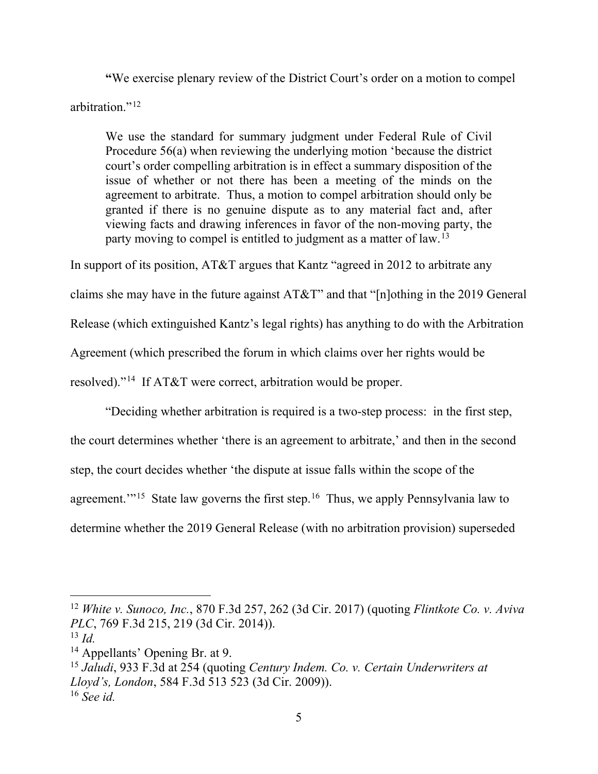**"**We exercise plenary review of the District Court's order on a motion to compel arbitration."<sup>12</sup>

We use the standard for summary judgment under Federal Rule of Civil Procedure 56(a) when reviewing the underlying motion 'because the district court's order compelling arbitration is in effect a summary disposition of the issue of whether or not there has been a meeting of the minds on the agreement to arbitrate. Thus, a motion to compel arbitration should only be granted if there is no genuine dispute as to any material fact and, after viewing facts and drawing inferences in favor of the non-moving party, the party moving to compel is entitled to judgment as a matter of law.<sup>13</sup>

In support of its position, AT&T argues that Kantz "agreed in 2012 to arbitrate any

claims she may have in the future against AT&T" and that "[n]othing in the 2019 General

Release (which extinguished Kantz's legal rights) has anything to do with the Arbitration

Agreement (which prescribed the forum in which claims over her rights would be

resolved)."14 If AT&T were correct, arbitration would be proper.

"Deciding whether arbitration is required is a two-step process: in the first step, the court determines whether 'there is an agreement to arbitrate,' and then in the second step, the court decides whether 'the dispute at issue falls within the scope of the agreement."<sup>15</sup> State law governs the first step.<sup>16</sup> Thus, we apply Pennsylvania law to determine whether the 2019 General Release (with no arbitration provision) superseded

<sup>12</sup> *White v. Sunoco, Inc.*, 870 F.3d 257, 262 (3d Cir. 2017) (quoting *Flintkote Co. v. Aviva PLC*, 769 F.3d 215, 219 (3d Cir. 2014)).

<sup>13</sup> *Id.*

<sup>&</sup>lt;sup>14</sup> Appellants' Opening Br. at 9.

<sup>15</sup> *Jaludi*, 933 F.3d at 254 (quoting *Century Indem. Co. v. Certain Underwriters at Lloyd's, London*, 584 F.3d 513 523 (3d Cir. 2009)). <sup>16</sup> *See id.*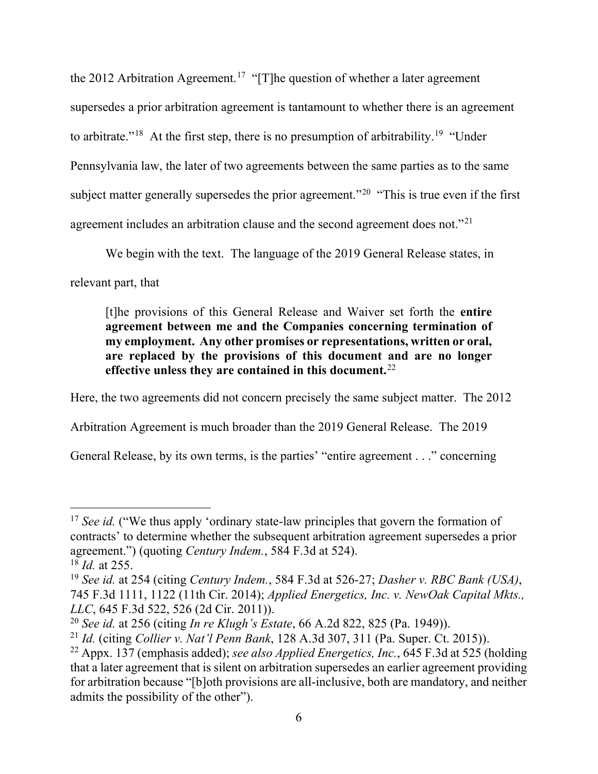the 2012 Arbitration Agreement.<sup>17</sup> "[T]he question of whether a later agreement supersedes a prior arbitration agreement is tantamount to whether there is an agreement to arbitrate."<sup>18</sup> At the first step, there is no presumption of arbitrability.<sup>19</sup> "Under" Pennsylvania law, the later of two agreements between the same parties as to the same subject matter generally supersedes the prior agreement."<sup>20</sup> "This is true even if the first agreement includes an arbitration clause and the second agreement does not."21

We begin with the text. The language of the 2019 General Release states, in

relevant part, that

[t]he provisions of this General Release and Waiver set forth the **entire agreement between me and the Companies concerning termination of my employment. Any other promises or representations, written or oral, are replaced by the provisions of this document and are no longer effective unless they are contained in this document.**<sup>22</sup>

Here, the two agreements did not concern precisely the same subject matter. The 2012

Arbitration Agreement is much broader than the 2019 General Release. The 2019

General Release, by its own terms, is the parties' "entire agreement . . ." concerning

<sup>&</sup>lt;sup>17</sup> *See id.* ("We thus apply 'ordinary state-law principles that govern the formation of contracts' to determine whether the subsequent arbitration agreement supersedes a prior agreement.") (quoting *Century Indem.*, 584 F.3d at 524).

<sup>18</sup> *Id.* at 255.

<sup>19</sup> *See id.* at 254 (citing *Century Indem.*, 584 F.3d at 526-27; *Dasher v. RBC Bank (USA)*, 745 F.3d 1111, 1122 (11th Cir. 2014); *Applied Energetics, Inc. v. NewOak Capital Mkts., LLC*, 645 F.3d 522, 526 (2d Cir. 2011)).

<sup>20</sup> *See id.* at 256 (citing *In re Klugh's Estate*, 66 A.2d 822, 825 (Pa. 1949)).

<sup>21</sup> *Id.* (citing *Collier v. Nat'l Penn Bank*, 128 A.3d 307, 311 (Pa. Super. Ct. 2015)).

<sup>22</sup> Appx. 137 (emphasis added); *see also Applied Energetics, Inc.*, 645 F.3d at 525 (holding that a later agreement that is silent on arbitration supersedes an earlier agreement providing for arbitration because "[b]oth provisions are all-inclusive, both are mandatory, and neither admits the possibility of the other").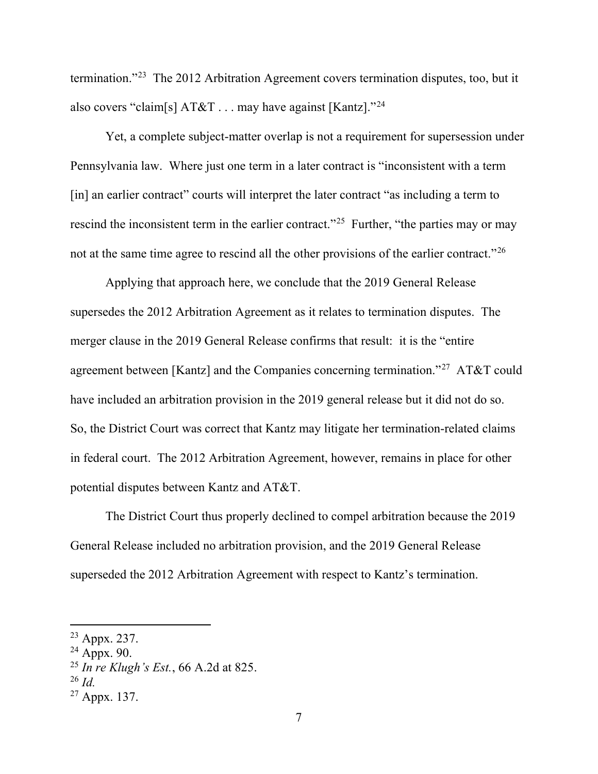termination."23 The 2012 Arbitration Agreement covers termination disputes, too, but it also covers "claim[s]  $AT&T \ldots$  may have against [Kantz]."<sup>24</sup>

Yet, a complete subject-matter overlap is not a requirement for supersession under Pennsylvania law. Where just one term in a later contract is "inconsistent with a term [in] an earlier contract" courts will interpret the later contract "as including a term to rescind the inconsistent term in the earlier contract."<sup>25</sup> Further, "the parties may or may not at the same time agree to rescind all the other provisions of the earlier contract."<sup>26</sup>

Applying that approach here, we conclude that the 2019 General Release supersedes the 2012 Arbitration Agreement as it relates to termination disputes. The merger clause in the 2019 General Release confirms that result: it is the "entire agreement between [Kantz] and the Companies concerning termination."<sup>27</sup> AT&T could have included an arbitration provision in the 2019 general release but it did not do so. So, the District Court was correct that Kantz may litigate her termination-related claims in federal court. The 2012 Arbitration Agreement, however, remains in place for other potential disputes between Kantz and AT&T.

The District Court thus properly declined to compel arbitration because the 2019 General Release included no arbitration provision, and the 2019 General Release superseded the 2012 Arbitration Agreement with respect to Kantz's termination.

<sup>23</sup> Appx. 237.

 $24$  Appx. 90.

<sup>25</sup> *In re Klugh's Est.*, 66 A.2d at 825.

<sup>26</sup> *Id.*

 $27$  Appx. 137.